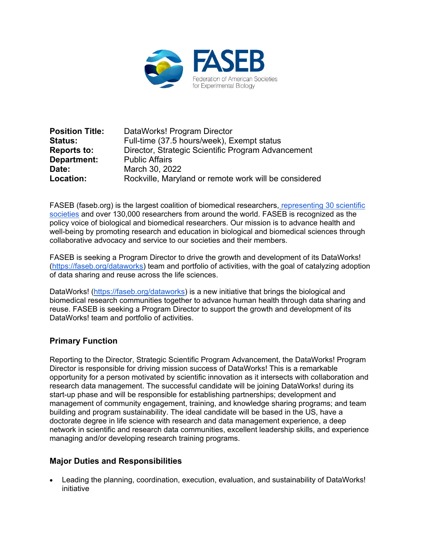

| <b>Position Title:</b> | DataWorks! Program Director                           |
|------------------------|-------------------------------------------------------|
| <b>Status:</b>         | Full-time (37.5 hours/week), Exempt status            |
| <b>Reports to:</b>     | Director, Strategic Scientific Program Advancement    |
| Department:            | <b>Public Affairs</b>                                 |
| Date:                  | March 30, 2022                                        |
| Location:              | Rockville, Maryland or remote work will be considered |

FASEB (faseb.org) is the largest coalition of biomedical researchers, [representing 30 scientific](https://faseb.org/Find-a-Member/FASEB-Member-Societies.aspx)  [societies](https://faseb.org/Find-a-Member/FASEB-Member-Societies.aspx) and over 130,000 researchers from around the world. FASEB is recognized as the policy voice of biological and biomedical researchers. Our mission is to advance health and well-being by promoting research and education in biological and biomedical sciences through collaborative advocacy and service to our societies and their members.

FASEB is seeking a Program Director to drive the growth and development of its DataWorks! [\(https://faseb.org/dataworks\)](https://faseb.org/dataworks) team and portfolio of activities, with the goal of catalyzing adoption of data sharing and reuse across the life sciences.

DataWorks! [\(https://faseb.org/dataworks\)](https://faseb.org/dataworks) is a new initiative that brings the biological and biomedical research communities together to advance human health through data sharing and reuse. FASEB is seeking a Program Director to support the growth and development of its DataWorks! team and portfolio of activities.

# **Primary Function**

Reporting to the Director, Strategic Scientific Program Advancement, the DataWorks! Program Director is responsible for driving mission success of DataWorks! This is a remarkable opportunity for a person motivated by scientific innovation as it intersects with collaboration and research data management. The successful candidate will be joining DataWorks! during its start-up phase and will be responsible for establishing partnerships; development and management of community engagement, training, and knowledge sharing programs; and team building and program sustainability. The ideal candidate will be based in the US, have a doctorate degree in life science with research and data management experience, a deep network in scientific and research data communities, excellent leadership skills, and experience managing and/or developing research training programs.

#### **Major Duties and Responsibilities**

• Leading the planning, coordination, execution, evaluation, and sustainability of DataWorks! initiative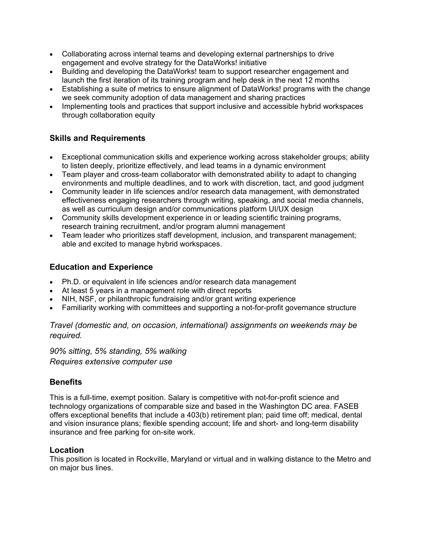- Collaborating across internal teams and developing external partnerships to drive engagement and evolve strategy for the DataWorks! initiative
- Building and developing the DataWorks! team to support researcher engagement and launch the first iteration of its training program and help desk in the next 12 months
- Establishing a suite of metrics to ensure alignment of DataWorks! programs with the change we seek community adoption of data management and sharing practices
- Implementing tools and practices that support inclusive and accessible hybrid workspaces through collaboration equity

# **Skills and Requirements**

- Exceptional communication skills and experience working across stakeholder groups; ability to listen deeply, prioritize effectively, and lead teams in a dynamic environment
- Team player and cross-team collaborator with demonstrated ability to adapt to changing environments and multiple deadlines, and to work with discretion, tact, and good judgment
- Community leader in life sciences and/or research data management, with demonstrated effectiveness engaging researchers through writing, speaking, and social media channels, as well as curriculum design and/or communications platform UI/UX design
- Community skills development experience in or leading scientific training programs, research training recruitment, and/or program alumni management
- Team leader who prioritizes staff development, inclusion, and transparent management; able and excited to manage hybrid workspaces.

# **Education and Experience**

- Ph.D. or equivalent in life sciences and/or research data management
- At least 5 years in a management role with direct reports
- NIH, NSF, or philanthropic fundraising and/or grant writing experience
- Familiarity working with committees and supporting a not-for-profit governance structure

*Travel (domestic and, on occasion, international) assignments on weekends may be required.*

*90% sitting, 5% standing, 5% walking Requires extensive computer use*

# **Benefits**

This is a full-time, exempt position. Salary is competitive with not-for-profit science and technology organizations of comparable size and based in the Washington DC area. FASEB offers exceptional benefits that include a 403(b) retirement plan; paid time off; medical, dental and vision insurance plans; flexible spending account; life and short- and long-term disability insurance and free parking for on-site work.

# **Location**

This position is located in Rockville, Maryland or virtual and in walking distance to the Metro and on major bus lines.